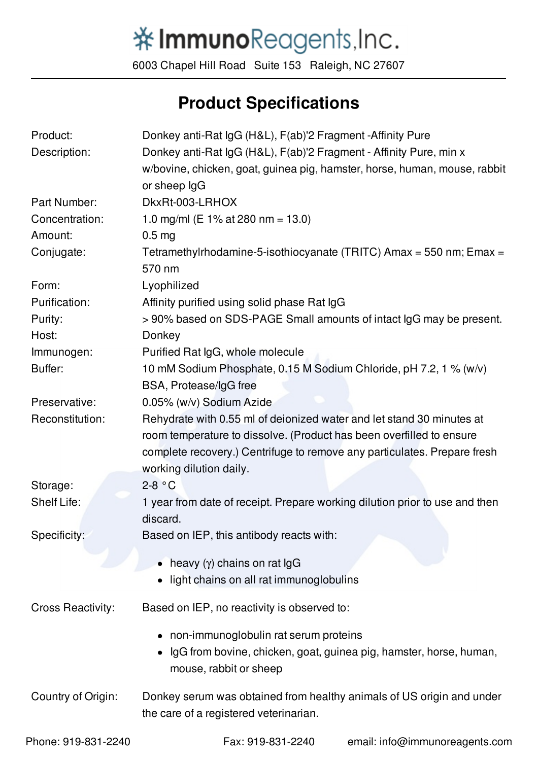## 举ImmunoReagents, Inc.

6003 Chapel Hill Road Suite 153 Raleigh, NC 27607

## **Product Specifications**

| Product:                 | Donkey anti-Rat IgG (H&L), F(ab)'2 Fragment -Affinity Pure                  |
|--------------------------|-----------------------------------------------------------------------------|
| Description:             | Donkey anti-Rat IgG (H&L), F(ab)'2 Fragment - Affinity Pure, min x          |
|                          | w/bovine, chicken, goat, guinea pig, hamster, horse, human, mouse, rabbit   |
|                          | or sheep IgG                                                                |
| Part Number:             | DkxRt-003-LRHOX                                                             |
| Concentration:           | 1.0 mg/ml (E 1% at 280 nm = 13.0)                                           |
| Amount:                  | 0.5 <sub>mg</sub>                                                           |
| Conjugate:               | Tetramethylrhodamine-5-isothiocyanate (TRITC) Amax = 550 nm; Emax =         |
|                          | 570 nm                                                                      |
| Form:                    | Lyophilized                                                                 |
| Purification:            | Affinity purified using solid phase Rat IgG                                 |
| Purity:                  | >90% based on SDS-PAGE Small amounts of intact IgG may be present.          |
| Host:                    | Donkey                                                                      |
| Immunogen:               | Purified Rat IgG, whole molecule                                            |
| Buffer:                  | 10 mM Sodium Phosphate, 0.15 M Sodium Chloride, pH 7.2, 1 % (w/v)           |
|                          | BSA, Protease/IgG free                                                      |
| Preservative:            | 0.05% (w/v) Sodium Azide                                                    |
| Reconstitution:          | Rehydrate with 0.55 ml of deionized water and let stand 30 minutes at       |
|                          | room temperature to dissolve. (Product has been overfilled to ensure        |
|                          | complete recovery.) Centrifuge to remove any particulates. Prepare fresh    |
|                          | working dilution daily.                                                     |
| Storage:                 | $2-8 °C$                                                                    |
| Shelf Life:              | 1 year from date of receipt. Prepare working dilution prior to use and then |
|                          | discard.                                                                    |
| Specificity:             | Based on IEP, this antibody reacts with:                                    |
|                          |                                                                             |
|                          | • heavy $(y)$ chains on rat $\lg G$                                         |
|                          | light chains on all rat immunoglobulins                                     |
| <b>Cross Reactivity:</b> | Based on IEP, no reactivity is observed to:                                 |
|                          | non-immunoglobulin rat serum proteins                                       |
|                          | IgG from bovine, chicken, goat, guinea pig, hamster, horse, human,          |
|                          | mouse, rabbit or sheep                                                      |
| Country of Origin:       | Donkey serum was obtained from healthy animals of US origin and under       |
|                          | the care of a registered veterinarian.                                      |
| Phone: 919-831-2240      | Fax: 919-831-2240<br>email: info@immunoreagents.com                         |